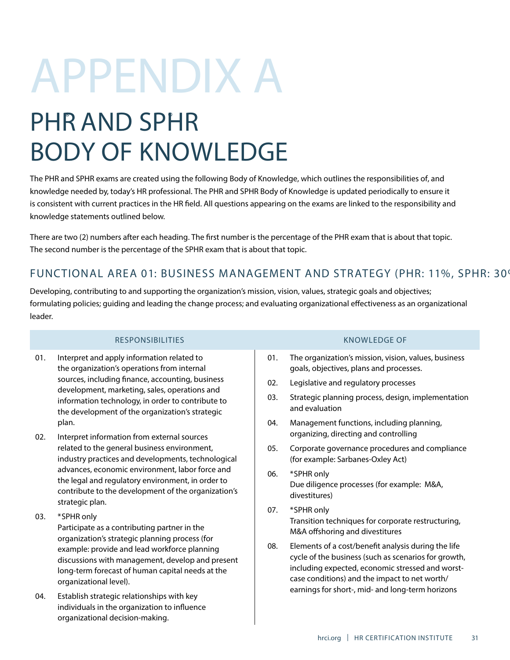# APPENDIX A

# PHR AND SPHR BODY OF KNOWLEDGE

The PHR and SPHR exams are created using the following Body of Knowledge, which outlines the responsibilities of, and knowledge needed by, today's HR professional. The PHR and SPHR Body of Knowledge is updated periodically to ensure it is consistent with current practices in the HR field. All questions appearing on the exams are linked to the responsibility and knowledge statements outlined below.

There are two (2) numbers after each heading. The first number is the percentage of the PHR exam that is about that topic. The second number is the percentage of the SPHR exam that is about that topic.

# FUNCTIONAL AREA 01: BUSINESS MANAGEMENT AND STRATEGY (PHR: 11%, SPHR: 30%)

Developing, contributing to and supporting the organization's mission, vision, values, strategic goals and objectives; formulating policies; guiding and leading the change process; and evaluating organizational effectiveness as an organizational leader.

# RESPONSIBILITIES KNOWLEDGE OF

- 01. Interpret and apply information related to the organization's operations from internal sources, including finance, accounting, business development, marketing, sales, operations and information technology, in order to contribute to the development of the organization's strategic plan.
- 02. Interpret information from external sources related to the general business environment, industry practices and developments, technological advances, economic environment, labor force and the legal and regulatory environment, in order to contribute to the development of the organization's strategic plan.
- 03. \***SPHR only**

Participate as a contributing partner in the organization's strategic planning process (for example: provide and lead workforce planning discussions with management, develop and present long-term forecast of human capital needs at the organizational level).

04. Establish strategic relationships with key individuals in the organization to influence organizational decision-making.

- 01. The organization's mission, vision, values, business goals, objectives, plans and processes.
- 02. Legislative and regulatory processes
- 03. Strategic planning process, design, implementation and evaluation
- 04. Management functions, including planning, organizing, directing and controlling
- 05. Corporate governance procedures and compliance (for example: Sarbanes-Oxley Act)
- 06. \***SPHR only** Due diligence processes (for example: M&A, divestitures)
- 07. \***SPHR only** Transition techniques for corporate restructuring, M&A offshoring and divestitures
- 08. Elements of a cost/benefit analysis during the life cycle of the business (such as scenarios for growth, including expected, economic stressed and worstcase conditions) and the impact to net worth/ earnings for short-, mid- and long-term horizons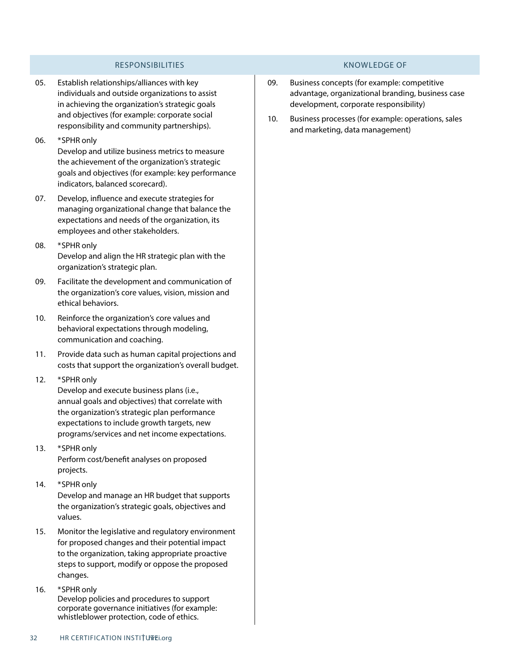# RESPONSIBILITIES KNOWLEDGE OF

- 05. Establish relationships/alliances with key individuals and outside organizations to assist in achieving the organization's strategic goals and objectives (for example: corporate social responsibility and community partnerships).
- 06. \***SPHR only** Develop and utilize business metrics to measure the achievement of the organization's strategic goals and objectives (for example: key performance indicators, balanced scorecard).
- 07. Develop, influence and execute strategies for managing organizational change that balance the expectations and needs of the organization, its employees and other stakeholders.
- 08. \***SPHR only** Develop and align the HR strategic plan with the organization's strategic plan.
- 09. Facilitate the development and communication of the organization's core values, vision, mission and ethical behaviors.
- 10. Reinforce the organization's core values and behavioral expectations through modeling, communication and coaching.
- 11. Provide data such as human capital projections and costs that support the organization's overall budget.
- 12. \***SPHR only**

Develop and execute business plans (i.e., annual goals and objectives) that correlate with the organization's strategic plan performance expectations to include growth targets, new programs/services and net income expectations.

- 13. \***SPHR only** Perform cost/benefit analyses on proposed projects.
- 14. \***SPHR only** Develop and manage an HR budget that supports the organization's strategic goals, objectives and values.
- 15. Monitor the legislative and regulatory environment for proposed changes and their potential impact to the organization, taking appropriate proactive steps to support, modify or oppose the proposed changes.
- 16. \***SPHR only** Develop policies and procedures to support corporate governance initiatives (for example: whistleblower protection, code of ethics.

- 09. Business concepts (for example: competitive advantage, organizational branding, business case development, corporate responsibility)
- 10. Business processes (for example: operations, sales and marketing, data management)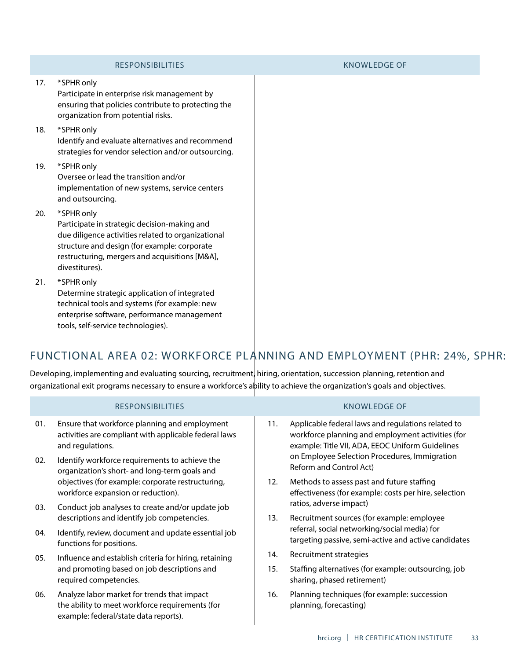## KNOWLEDGE OF RESPONSIBILITIES 11. Applicable federal laws and regulations related to workforce planning and employment activities (for example: Title VII, ADA, EEOC Uniform Guidelines on Employee Selection Procedures, Immigration Reform and Control Act) 12. Methods to assess past and future staffing effectiveness (for example: costs per hire, selection ratios, adverse impact) 13. Recruitment sources (for example: employee referral, social networking/social media) for targeting passive, semi-active and active candidates 14. Recruitment strategies 15. Staffing alternatives (for example: outsourcing, job sharing, phased retirement) 16. Planning techniques (for example: succession planning, forecasting) 01. Ensure that workforce planning and employment activities are compliant with applicable federal laws and regulations. 02. Identify workforce requirements to achieve the organization's short- and long-term goals and objectives (for example: corporate restructuring, workforce expansion or reduction). 03. Conduct job analyses to create and/or update job descriptions and identify job competencies. 04. Identify, review, document and update essential job functions for positions. 05. Influence and establish criteria for hiring, retaining and promoting based on job descriptions and required competencies. 06. Analyze labor market for trends that impact the ability to meet workforce requirements (for example: federal/state data reports). organizational exit programs necessary to ensure a workforce's ability to achieve the organization's goals and objectives.

strategies for vendor selection and/or outsourcing. Oversee or lead the transition and/or

implementation of new systems, service centers and outsourcing.

# 20. \***SPHR only**

Participate in strategic decision-making and due diligence activities related to organizational structure and design (for example: corporate restructuring, mergers and acquisitions [M&A], divestitures).

21. \***SPHR only**

Determine strategic application of integrated technical tools and systems (for example: new enterprise software, performance management tools, self-service technologies).

# FUNCTIONAL AREA 02: WORKFORCE PLANNING AND EMPLOYMENT (PHR: 24%, SPHR:

Developing, implementing and evaluating sourcing, recruitment, hiring, orientation, succession planning, retention and

17. \***SPHR only** Participate in enterprise risk management by ensuring that policies contribute to protecting the organization from potential risks.

- 18. \***SPHR only** Identify and evaluate alternatives and recommend
- 19. \***SPHR only**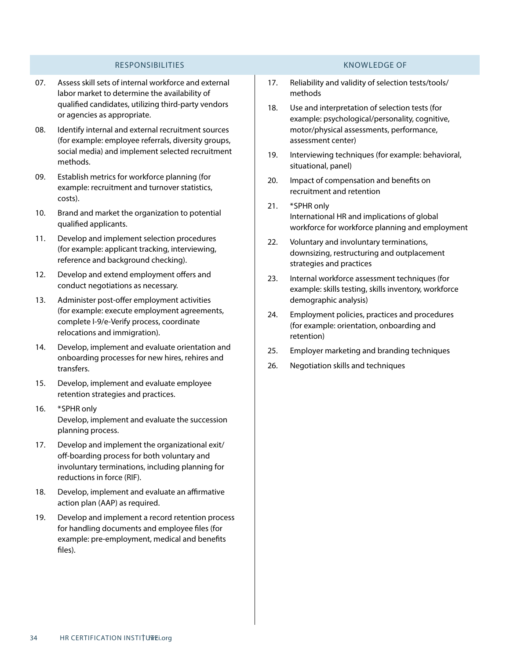- 07. Assess skill sets of internal workforce and external labor market to determine the availability of qualified candidates, utilizing third-party vendors or agencies as appropriate.
- 08. Identify internal and external recruitment sources (for example: employee referrals, diversity groups, social media) and implement selected recruitment methods.
- 09. Establish metrics for workforce planning (for example: recruitment and turnover statistics, costs).
- 10. Brand and market the organization to potential qualified applicants.
- 11. Develop and implement selection procedures (for example: applicant tracking, interviewing, reference and background checking).
- 12. Develop and extend employment offers and conduct negotiations as necessary.
- 13. Administer post-offer employment activities (for example: execute employment agreements, complete I-9/e-Verify process, coordinate relocations and immigration).
- 14. Develop, implement and evaluate orientation and onboarding processes for new hires, rehires and transfers.
- 15. Develop, implement and evaluate employee retention strategies and practices.
- 16. \***SPHR only** Develop, implement and evaluate the succession planning process.
- 17. Develop and implement the organizational exit/ off-boarding process for both voluntary and involuntary terminations, including planning for reductions in force (RIF).
- 18. Develop, implement and evaluate an affirmative action plan (AAP) as required.
- 19. Develop and implement a record retention process for handling documents and employee files (for example: pre-employment, medical and benefits files).

- 17. Reliability and validity of selection tests/tools/ methods
- 18. Use and interpretation of selection tests (for example: psychological/personality, cognitive, motor/physical assessments, performance, assessment center)
- 19. Interviewing techniques (for example: behavioral, situational, panel)
- 20. Impact of compensation and benefits on recruitment and retention
- 21. \***SPHR only** International HR and implications of global workforce for workforce planning and employment
- 22. Voluntary and involuntary terminations, downsizing, restructuring and outplacement strategies and practices
- 23. Internal workforce assessment techniques (for example: skills testing, skills inventory, workforce demographic analysis)
- 24. Employment policies, practices and procedures (for example: orientation, onboarding and retention)
- 25. Employer marketing and branding techniques
- 26. Negotiation skills and techniques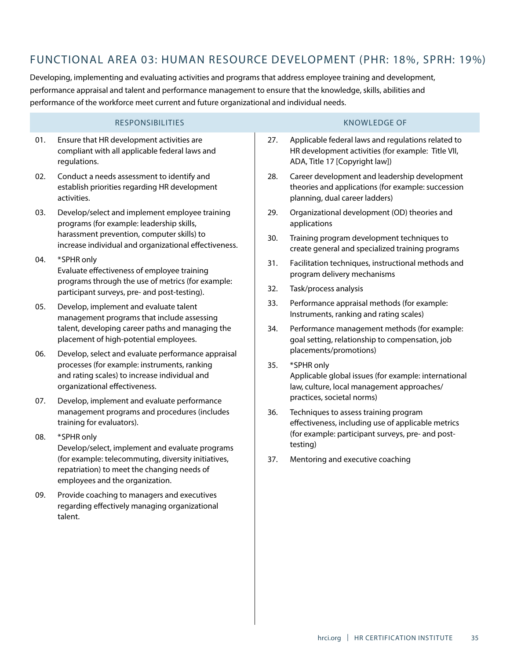# FUNCTIONAL AREA 03: HUMAN RESOURCE DEVELOPMENT (PHR: 18%, SPRH: 19%)

Developing, implementing and evaluating activities and programs that address employee training and development, performance appraisal and talent and performance management to ensure that the knowledge, skills, abilities and performance of the workforce meet current and future organizational and individual needs.

- 01. Ensure that HR development activities are compliant with all applicable federal laws and regulations.
- 02. Conduct a needs assessment to identify and establish priorities regarding HR development activities.
- 03. Develop/select and implement employee training programs (for example: leadership skills, harassment prevention, computer skills) to increase individual and organizational effectiveness.
- 04. \***SPHR only** Evaluate effectiveness of employee training programs through the use of metrics (for example: participant surveys, pre- and post-testing).
- 05. Develop, implement and evaluate talent management programs that include assessing talent, developing career paths and managing the placement of high-potential employees.
- 06. Develop, select and evaluate performance appraisal processes (for example: instruments, ranking and rating scales) to increase individual and organizational effectiveness.
- 07. Develop, implement and evaluate performance management programs and procedures (includes training for evaluators).
- 08. \***SPHR only** Develop/select, implement and evaluate programs (for example: telecommuting, diversity initiatives, repatriation) to meet the changing needs of employees and the organization.
- 09. Provide coaching to managers and executives regarding effectively managing organizational talent.

- 27. Applicable federal laws and regulations related to HR development activities (for example: Title VII, ADA, Title 17 [Copyright law])
- 28. Career development and leadership development theories and applications (for example: succession planning, dual career ladders)
- 29. Organizational development (OD) theories and applications
- 30. Training program development techniques to create general and specialized training programs
- 31. Facilitation techniques, instructional methods and program delivery mechanisms
- 32. Task/process analysis
- 33. Performance appraisal methods (for example: Instruments, ranking and rating scales)
- 34. Performance management methods (for example: goal setting, relationship to compensation, job placements/promotions)
- 35. \***SPHR only** Applicable global issues (for example: international law, culture, local management approaches/ practices, societal norms)
- 36. Techniques to assess training program effectiveness, including use of applicable metrics (for example: participant surveys, pre- and posttesting)
- 37. Mentoring and executive coaching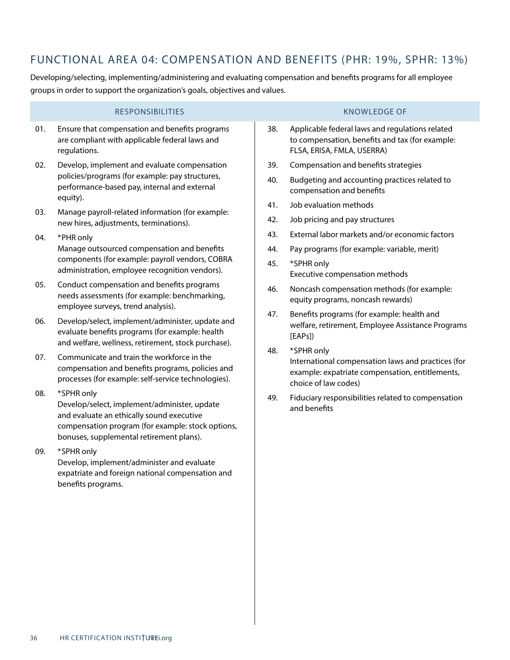# FUNCTIONAL AREA 04: COMPENSATION AND BENEFITS (PHR: 19%, SPHR: 13%)

Developing/selecting, implementing/administering and evaluating compensation and benefits programs for all employee groups in order to support the organization's goals, objectives and values.

# 38. Applicable federal laws and regulations related to compensation, benefits and tax (for example: FLSA, ERISA, FMLA, USERRA) 39. Compensation and benefits strategies 01. Ensure that compensation and benefits programs are compliant with applicable federal laws and regulations. RESPONSIBILITIES KNOWLEDGE OF

- 40. Budgeting and accounting practices related to compensation and benefits
	- 41. Job evaluation methods
	- 42. Job pricing and pay structures
	- 43. External labor markets and/or economic factors
	- 44. Pay programs (for example: variable, merit)
	- 45. \***SPHR only** Executive compensation methods
	- 46. Noncash compensation methods (for example: equity programs, noncash rewards)
	- 47. Benefits programs (for example: health and welfare, retirement, Employee Assistance Programs [EAPs])
	- 48. \***SPHR only**

International compensation laws and practices (for example: expatriate compensation, entitlements, choice of law codes)

49. Fiduciary responsibilities related to compensation and benefits

- 
- 02. Develop, implement and evaluate compensation policies/programs (for example: pay structures, performance-based pay, internal and external equity).
- 03. Manage payroll-related information (for example: new hires, adjustments, terminations).
- 04. \***PHR only** Manage outsourced compensation and benefits components (for example: payroll vendors, COBRA administration, employee recognition vendors).
- 05. Conduct compensation and benefits programs needs assessments (for example: benchmarking, employee surveys, trend analysis).
- 06. Develop/select, implement/administer, update and evaluate benefits programs (for example: health and welfare, wellness, retirement, stock purchase).
- 07. Communicate and train the workforce in the compensation and benefits programs, policies and processes (for example: self-service technologies).
- 08. \***SPHR only**

Develop/select, implement/administer, update and evaluate an ethically sound executive compensation program (for example: stock options, bonuses, supplemental retirement plans).

09. \***SPHR only**

Develop, implement/administer and evaluate expatriate and foreign national compensation and benefits programs.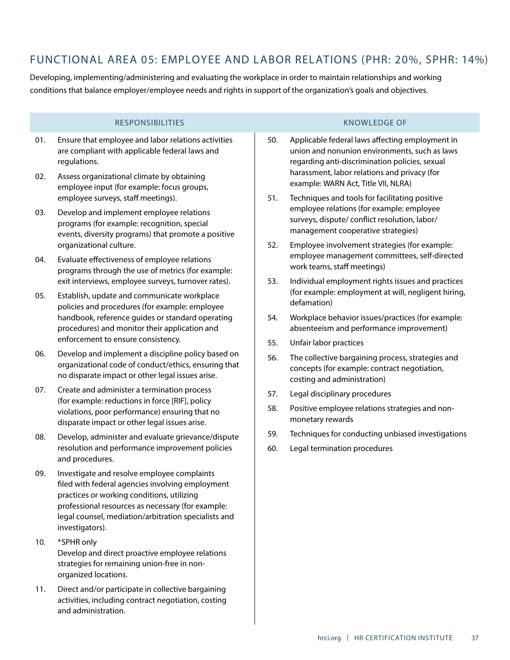# FUNCTIONAL AREA 05: EMPLOYEE AND LABOR RELATIONS (PHR: 20%, SPHR: 14%)

Developing, implementing/administering and evaluating the workplace in order to maintain relationships and working conditions that balance employer/employee needs and rights in support of the organization's goals and objectives.

- 01. Ensure that employee and labor relations activities are compliant with applicable federal laws and regulations.
- 02. Assess organizational climate by obtaining employee input (for example: focus groups, employee surveys, staff meetings).
- 03. Develop and implement employee relations programs (for example: recognition, special events, diversity programs) that promote a positive organizational culture.
- 04. Evaluate effectiveness of employee relations programs through the use of metrics (for example: exit interviews, employee surveys, turnover rates).
- 05. Establish, update and communicate workplace policies and procedures (for example: employee handbook, reference guides or standard operating procedures) and monitor their application and enforcement to ensure consistency.
- 06. Develop and implement a discipline policy based on organizational code of conduct/ethics, ensuring that no disparate impact or other legal issues arise.
- 07. Create and administer a termination process (for example: reductions in force [RIF], policy violations, poor performance) ensuring that no disparate impact or other legal issues arise.
- 08. Develop, administer and evaluate grievance/dispute resolution and performance improvement policies and procedures.
- 09. Investigate and resolve employee complaints filed with federal agencies involving employment practices or working conditions, utilizing professional resources as necessary (for example: legal counsel, mediation/arbitration specialists and investigators).
- 10. \***SPHR only** Develop and direct proactive employee relations strategies for remaining union-free in nonorganized locations.
- 11. Direct and/or participate in collective bargaining activities, including contract negotiation, costing and administration.

- 50. Applicable federal laws affecting employment in union and nonunion environments, such as laws regarding anti-discrimination policies, sexual harassment, labor relations and privacy (for example: WARN Act, Title VII, NLRA)
- 51. Techniques and tools for facilitating positive employee relations (for example: employee surveys, dispute/ conflict resolution, labor/ management cooperative strategies)
- 52. Employee involvement strategies (for example: employee management committees, self-directed work teams, staff meetings)
- 53. Individual employment rights issues and practices (for example: employment at will, negligent hiring, defamation)
- 54. Workplace behavior issues/practices (for example: absenteeism and performance improvement)
- 55. Unfair labor practices
- 56. The collective bargaining process, strategies and concepts (for example: contract negotiation, costing and administration)
- 57. Legal disciplinary procedures
- 58. Positive employee relations strategies and nonmonetary rewards
- 59. Techniques for conducting unbiased investigations
- 60. Legal termination procedures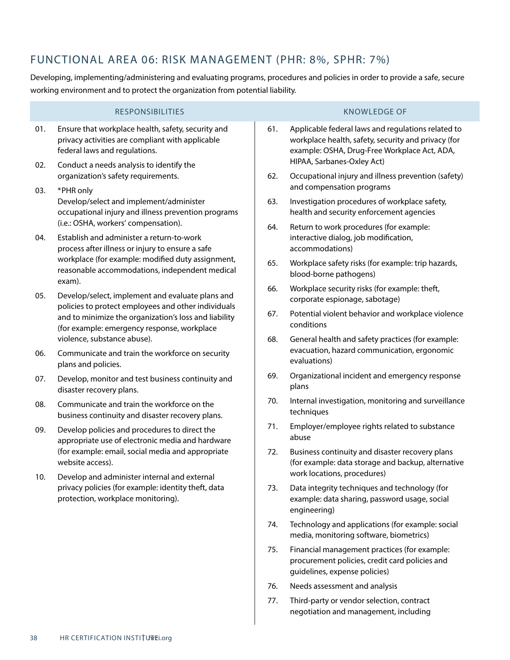# FUNCTIONAL AREA 06: RISK MANAGEMENT (PHR: 8%, SPHR: 7%)

Developing, implementing/administering and evaluating programs, procedures and policies in order to provide a safe, secure working environment and to protect the organization from potential liability.

|     | <b>RESPONSIBILITIES</b>                                                                                                                                                                                                                                |     | <b>KNOWLEDGE OF</b>                                                                                                                                                                     |
|-----|--------------------------------------------------------------------------------------------------------------------------------------------------------------------------------------------------------------------------------------------------------|-----|-----------------------------------------------------------------------------------------------------------------------------------------------------------------------------------------|
| 01. | Ensure that workplace health, safety, security and<br>privacy activities are compliant with applicable<br>federal laws and regulations.                                                                                                                | 61. | Applicable federal laws and regulations related to<br>workplace health, safety, security and privacy (for<br>example: OSHA, Drug-Free Workplace Act, ADA,<br>HIPAA, Sarbanes-Oxley Act) |
| 02. | Conduct a needs analysis to identify the<br>organization's safety requirements.                                                                                                                                                                        | 62. | Occupational injury and illness prevention (safety)                                                                                                                                     |
| 03. | *PHR only<br>Develop/select and implement/administer<br>occupational injury and illness prevention programs                                                                                                                                            | 63. | and compensation programs<br>Investigation procedures of workplace safety,<br>health and security enforcement agencies                                                                  |
| 04. | (i.e.: OSHA, workers' compensation).<br>Establish and administer a return-to-work<br>process after illness or injury to ensure a safe<br>workplace (for example: modified duty assignment,<br>reasonable accommodations, independent medical<br>exam). | 64. | Return to work procedures (for example:<br>interactive dialog, job modification,<br>accommodations)                                                                                     |
|     |                                                                                                                                                                                                                                                        | 65. | Workplace safety risks (for example: trip hazards,<br>blood-borne pathogens)                                                                                                            |
| 05. | Develop/select, implement and evaluate plans and<br>policies to protect employees and other individuals<br>and to minimize the organization's loss and liability<br>(for example: emergency response, workplace                                        | 66. | Workplace security risks (for example: theft,<br>corporate espionage, sabotage)                                                                                                         |
|     |                                                                                                                                                                                                                                                        | 67. | Potential violent behavior and workplace violence<br>conditions                                                                                                                         |
| 06. | violence, substance abuse).<br>Communicate and train the workforce on security<br>plans and policies.                                                                                                                                                  | 68. | General health and safety practices (for example:<br>evacuation, hazard communication, ergonomic<br>evaluations)                                                                        |
| 07. | Develop, monitor and test business continuity and<br>disaster recovery plans.                                                                                                                                                                          | 69. | Organizational incident and emergency response<br>plans                                                                                                                                 |
| 08. | Communicate and train the workforce on the<br>business continuity and disaster recovery plans.                                                                                                                                                         | 70. | Internal investigation, monitoring and surveillance<br>techniques                                                                                                                       |
| 09. | Develop policies and procedures to direct the<br>appropriate use of electronic media and hardware                                                                                                                                                      | 71. | Employer/employee rights related to substance<br>abuse                                                                                                                                  |
|     | (for example: email, social media and appropriate<br>website access).                                                                                                                                                                                  | 72. | Business continuity and disaster recovery plans<br>(for example: data storage and backup, alternative<br>work locations, procedures)                                                    |
| 10. | Develop and administer internal and external<br>privacy policies (for example: identity theft, data<br>protection, workplace monitoring).                                                                                                              | 73. | Data integrity techniques and technology (for<br>example: data sharing, password usage, social<br>engineering)                                                                          |
|     |                                                                                                                                                                                                                                                        | 74. | Technology and applications (for example: social<br>media, monitoring software, biometrics)                                                                                             |
|     |                                                                                                                                                                                                                                                        | 75. | Financial management practices (for example:<br>procurement policies, credit card policies and<br>quidelines, expense policies)                                                         |
|     |                                                                                                                                                                                                                                                        | 76. | Needs assessment and analysis                                                                                                                                                           |
|     |                                                                                                                                                                                                                                                        | 77. | Third-party or vendor selection, contract                                                                                                                                               |

negotiation and management, including